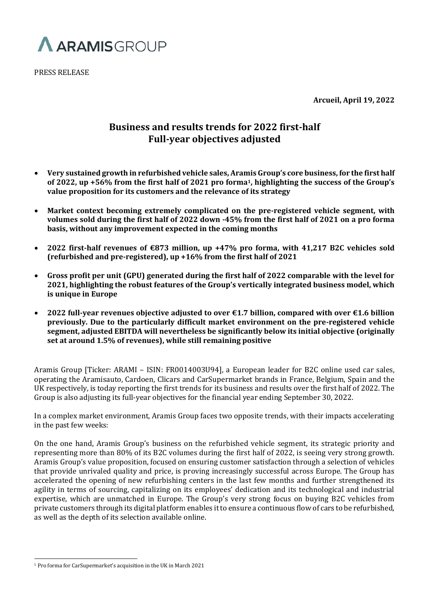

PRESS RELEASE

**Arcueil, April 19, 2022**

# **Business and results trends for 2022 first-half Full-year objectives adjusted**

- **Very sustained growth in refurbished vehicle sales, Aramis Group's core business, for the first half of 2022, up +56% from the first half of 2021 pro forma1, highlighting the success of the Group's value proposition for its customers and the relevance of its strategy**
- **Market context becoming extremely complicated on the pre-registered vehicle segment, with volumes sold during the first half of 2022 down -45% from the first half of 2021 on a pro forma basis, without any improvement expected in the coming months**
- **2022 first-half revenues of €873 million, up +47% pro forma, with 41,217 B2C vehicles sold (refurbished and pre-registered), up +16% from the first half of 2021**
- **Gross profit per unit (GPU) generated during the first half of 2022 comparable with the level for 2021, highlighting the robust features of the Group's vertically integrated business model, which is unique in Europe**
- **2022 full-year revenues objective adjusted to over €1.7 billion, compared with over €1.6 billion previously. Due to the particularly difficult market environment on the pre-registered vehicle segment, adjusted EBITDA will nevertheless be significantly below its initial objective (originally set at around 1.5% of revenues), while still remaining positive**

Aramis Group [Ticker: ARAMI – ISIN: FR0014003U94], a European leader for B2C online used car sales, operating the Aramisauto, Cardoen, Clicars and CarSupermarket brands in France, Belgium, Spain and the UK respectively, is today reporting the first trends for its business and results over the first half of 2022. The Group is also adjusting its full-year objectives for the financial year ending September 30, 2022.

In a complex market environment, Aramis Group faces two opposite trends, with their impacts accelerating in the past few weeks:

On the one hand, Aramis Group's business on the refurbished vehicle segment, its strategic priority and representing more than 80% of its B2C volumes during the first half of 2022, is seeing very strong growth. Aramis Group's value proposition, focused on ensuring customer satisfaction through a selection of vehicles that provide unrivaled quality and price, is proving increasingly successful across Europe. The Group has accelerated the opening of new refurbishing centers in the last few months and further strengthened its agility in terms of sourcing, capitalizing on its employees' dedication and its technological and industrial expertise, which are unmatched in Europe. The Group's very strong focus on buying B2C vehicles from private customers through its digital platform enables it to ensure a continuous flow of cars to be refurbished, as well as the depth of its selection available online.

<sup>1</sup> Pro forma for CarSupermarket's acquisition in the UK in March 2021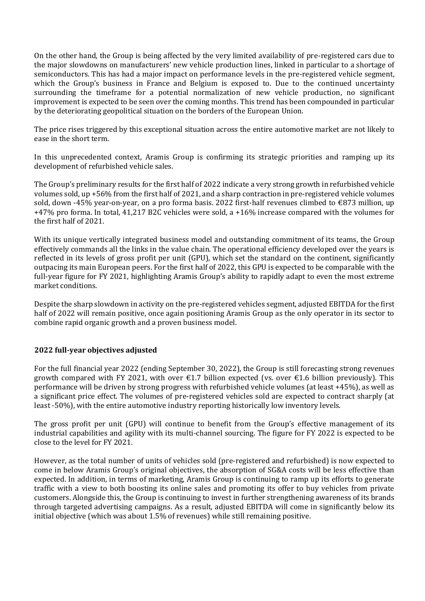On the other hand, the Group is being affected by the very limited availability of pre-registered cars due to the major slowdowns on manufacturers' new vehicle production lines, linked in particular to a shortage of semiconductors. This has had a major impact on performance levels in the pre-registered vehicle segment, which the Group's business in France and Belgium is exposed to. Due to the continued uncertainty surrounding the timeframe for a potential normalization of new vehicle production, no significant improvement is expected to be seen over the coming months. This trend has been compounded in particular by the deteriorating geopolitical situation on the borders of the European Union.

The price rises triggered by this exceptional situation across the entire automotive market are not likely to ease in the short term.

In this unprecedented context, Aramis Group is confirming its strategic priorities and ramping up its development of refurbished vehicle sales.

The Group's preliminary results for the first half of 2022 indicate a very strong growth in refurbished vehicle volumes sold, up +56% from the first half of 2021, and a sharp contraction in pre-registered vehicle volumes sold, down -45% year-on-year, on a pro forma basis. 2022 first-half revenues climbed to €873 million, up +47% pro forma. In total, 41,217 B2C vehicles were sold, a +16% increase compared with the volumes for the first half of 2021.

With its unique vertically integrated business model and outstanding commitment of its teams, the Group effectively commands all the links in the value chain. The operational efficiency developed over the years is reflected in its levels of gross profit per unit (GPU), which set the standard on the continent, significantly outpacing its main European peers. For the first half of 2022, this GPU is expected to be comparable with the full-year figure for FY 2021, highlighting Aramis Group's ability to rapidly adapt to even the most extreme market conditions.

Despite the sharp slowdown in activity on the pre-registered vehicles segment, adjusted EBITDA for the first half of 2022 will remain positive, once again positioning Aramis Group as the only operator in its sector to combine rapid organic growth and a proven business model.

# **2022 full-year objectives adjusted**

For the full financial year 2022 (ending September 30, 2022), the Group is still forecasting strong revenues growth compared with FY 2021, with over  $\epsilon$ 1.7 billion expected (vs. over  $\epsilon$ 1.6 billion previously). This performance will be driven by strong progress with refurbished vehicle volumes (at least +45%), as well as a significant price effect. The volumes of pre-registered vehicles sold are expected to contract sharply (at least -50%), with the entire automotive industry reporting historically low inventory levels.

The gross profit per unit (GPU) will continue to benefit from the Group's effective management of its industrial capabilities and agility with its multi-channel sourcing. The figure for FY 2022 is expected to be close to the level for FY 2021.

However, as the total number of units of vehicles sold (pre-registered and refurbished) is now expected to come in below Aramis Group's original objectives, the absorption of SG&A costs will be less effective than expected. In addition, in terms of marketing, Aramis Group is continuing to ramp up its efforts to generate traffic with a view to both boosting its online sales and promoting its offer to buy vehicles from private customers. Alongside this, the Group is continuing to invest in further strengthening awareness of its brands through targeted advertising campaigns. As a result, adjusted EBITDA will come in significantly below its initial objective (which was about 1.5% of revenues) while still remaining positive.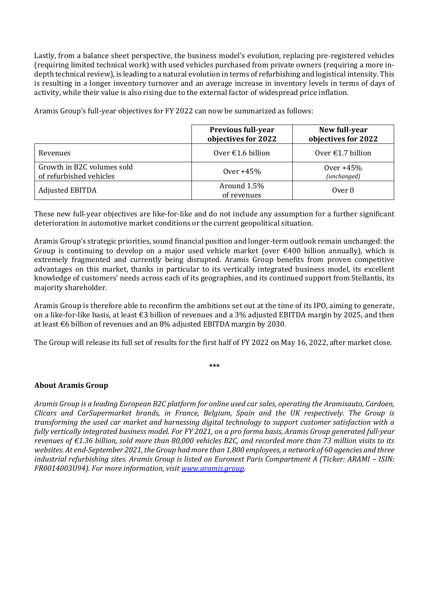Lastly, from a balance sheet perspective, the business model's evolution, replacing pre-registered vehicles (requiring limited technical work) with used vehicles purchased from private owners (requiring a more indepth technical review), is leading to a natural evolution in terms of refurbishing and logistical intensity. This is resulting in a longer inventory turnover and an average increase in inventory levels in terms of days of activity, while their value is also rising due to the external factor of widespread price inflation.

Aramis Group's full-year objectives for FY 2022 can now be summarized as follows:

|                                                       | <b>Previous full-year</b><br>objectives for 2022 | New full-year<br>objectives for 2022 |
|-------------------------------------------------------|--------------------------------------------------|--------------------------------------|
| Revenues                                              | Over $\epsilon$ 1.6 billion                      | Over $\epsilon$ 1.7 billion          |
| Growth in B2C volumes sold<br>of refurbished vehicles | Over $+45%$                                      | Over $+45%$<br>(unchanged)           |
| Adjusted EBITDA                                       | Around 1.5%<br>of revenues                       | Over 0                               |

These new full-year objectives are like-for-like and do not include any assumption for a further significant deterioration in automotive market conditions or the current geopolitical situation.

Aramis Group's strategic priorities, sound financial position and longer-term outlook remain unchanged: the Group is continuing to develop on a major used vehicle market (over  $\epsilon$ 400 billion annually), which is extremely fragmented and currently being disrupted. Aramis Group benefits from proven competitive advantages on this market, thanks in particular to its vertically integrated business model, its excellent knowledge of customers' needs across each of its geographies, and its continued support from Stellantis, its majority shareholder.

Aramis Group is therefore able to reconfirm the ambitions set out at the time of its IPO, aiming to generate, on a like-for-like basis, at least €3 billion of revenues and a 3% adjusted EBITDA margin by 2025, and then at least €6 billion of revenues and an 8% adjusted EBITDA margin by 2030.

The Group will release its full set of results for the first half of FY 2022 on May 16, 2022, after market close.

**\*\*\***

# **About Aramis Group**

*Aramis Group is a leading European B2C platform for online used car sales, operating the Aramisauto, Cardoen, Clicars and CarSupermarket brands, in France, Belgium, Spain and the UK respectively. The Group is transforming the used car market and harnessing digital technology to support customer satisfaction with a fully vertically integrated business model. For FY 2021, on a pro forma basis, Aramis Group generated full-year revenues of €1.36 billion, sold more than 80,000 vehicles B2C, and recorded more than 73 million visits to its websites. At end-September 2021, the Group had more than 1,800 employees, a network of 60 agencies and three industrial refurbishing sites. Aramis Group is listed on Euronext Paris Compartment A (Ticker: ARAMI – ISIN: FR0014003U94). For more information, visit [www.aramis.group.](http://www.aramis.group/)*